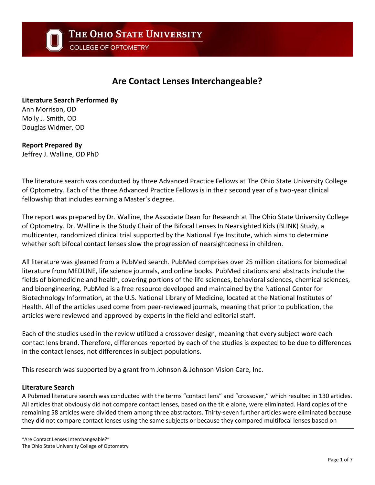COLLEGE OF OPTOMETRY

# **Are Contact Lenses Interchangeable?**

**Literature Search Performed By** Ann Morrison, OD Molly J. Smith, OD Douglas Widmer, OD

# **Report Prepared By**

Jeffrey J. Walline, OD PhD

The literature search was conducted by three Advanced Practice Fellows at The Ohio State University College of Optometry. Each of the three Advanced Practice Fellows is in their second year of a two-year clinical fellowship that includes earning a Master's degree.

The report was prepared by Dr. Walline, the Associate Dean for Research at The Ohio State University College of Optometry. Dr. Walline is the Study Chair of the Bifocal Lenses In Nearsighted Kids (BLINK) Study, a multicenter, randomized clinical trial supported by the National Eye Institute, which aims to determine whether soft bifocal contact lenses slow the progression of nearsightedness in children.

All literature was gleaned from a PubMed search. PubMed comprises over 25 million citations for biomedical literature from MEDLINE, life science journals, and online books. PubMed citations and abstracts include the fields of biomedicine and health, covering portions of the life sciences, behavioral sciences, chemical sciences, and bioengineering. PubMed is a free resource developed and maintained by the National Center for Biotechnology Information, at the U.S. National Library of Medicine, located at the National Institutes of Health. All of the articles used come from peer-reviewed journals, meaning that prior to publication, the articles were reviewed and approved by experts in the field and editorial staff.

Each of the studies used in the review utilized a crossover design, meaning that every subject wore each contact lens brand. Therefore, differences reported by each of the studies is expected to be due to differences in the contact lenses, not differences in subject populations.

This research was supported by a grant from Johnson & Johnson Vision Care, Inc.

#### **Literature Search**

A Pubmed literature search was conducted with the terms "contact lens" and "crossover," which resulted in 130 articles. All articles that obviously did not compare contact lenses, based on the title alone, were eliminated. Hard copies of the remaining 58 articles were divided them among three abstractors. Thirty-seven further articles were eliminated because they did not compare contact lenses using the same subjects or because they compared multifocal lenses based on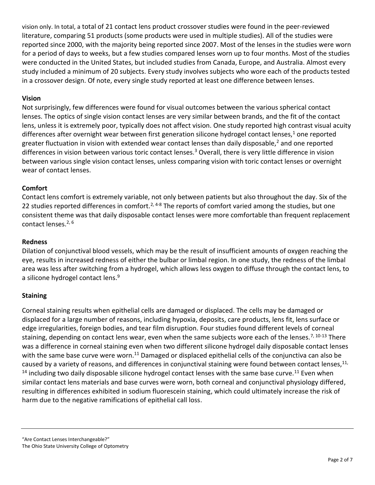vision only. In total, a total of 21 contact lens product crossover studies were found in the peer-reviewed literature, comparing 51 products (some products were used in multiple studies). All of the studies were reported since 2000, with the majority being reported since 2007. Most of the lenses in the studies were worn for a period of days to weeks, but a few studies compared lenses worn up to four months. Most of the studies were conducted in the United States, but included studies from Canada, Europe, and Australia. Almost every study included a minimum of 20 subjects. Every study involves subjects who wore each of the products tested in a crossover design. Of note, every single study reported at least one difference between lenses.

#### **Vision**

Not surprisingly, few differences were found for visual outcomes between the various spherical contact lenses. The optics of single vision contact lenses are very similar between brands, and the fit of the contact lens, unless it is extremely poor, typically does not affect vision. One study reported high contrast visual acuity differences after overnight wear between first generation silicone hydrogel contact lenses,<sup>1</sup> one reported greater fluctuation in vision with extended wear contact lenses than daily disposable,<sup>2</sup> and one reported differences in vision between various toric contact lenses.<sup>3</sup> Overall, there is very little difference in vision between various single vision contact lenses, unless comparing vision with toric contact lenses or overnight wear of contact lenses.

#### **Comfort**

Contact lens comfort is extremely variable, not only between patients but also throughout the day. Six of the 22 studies reported differences in comfort.<sup>2, 4-8</sup> The reports of comfort varied among the studies, but one consistent theme was that daily disposable contact lenses were more comfortable than frequent replacement contact lenses.<sup>2, 6</sup>

#### **Redness**

Dilation of conjunctival blood vessels, which may be the result of insufficient amounts of oxygen reaching the eye, results in increased redness of either the bulbar or limbal region. In one study, the redness of the limbal area was less after switching from a hydrogel, which allows less oxygen to diffuse through the contact lens, to a silicone hydrogel contact lens.<sup>9</sup>

#### **Staining**

Corneal staining results when epithelial cells are damaged or displaced. The cells may be damaged or displaced for a large number of reasons, including hypoxia, deposits, care products, lens fit, lens surface or edge irregularities, foreign bodies, and tear film disruption. Four studies found different levels of corneal staining, depending on contact lens wear, even when the same subjects wore each of the lenses.<sup>7, 10-13</sup> There was a difference in corneal staining even when two different silicone hydrogel daily disposable contact lenses with the same base curve were worn.<sup>11</sup> Damaged or displaced epithelial cells of the conjunctiva can also be caused by a variety of reasons, and differences in conjunctival staining were found between contact lenses,<sup>11,</sup>  $14$  including two daily disposable silicone hydrogel contact lenses with the same base curve.<sup>11</sup> Even when similar contact lens materials and base curves were worn, both corneal and conjunctival physiology differed, resulting in differences exhibited in sodium fluorescein staining, which could ultimately increase the risk of harm due to the negative ramifications of epithelial call loss.

"Are Contact Lenses Interchangeable?" The Ohio State University College of Optometry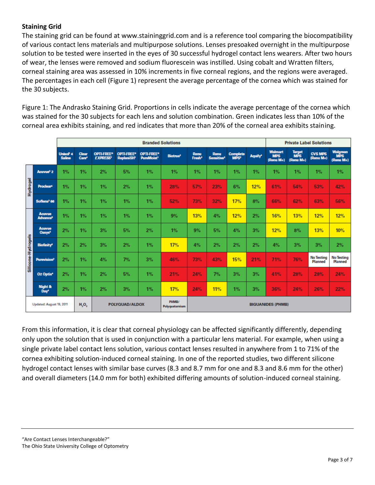# **Staining Grid**

The staining grid can be found at www.staininggrid.com and is a reference tool comparing the biocompatibility of various contact lens materials and multipurpose solutions. Lenses presoaked overnight in the multipurpose solution to be tested were inserted in the eyes of 30 successful hydrogel contact lens wearers. After two hours of wear, the lenses were removed and sodium fluorescein was instilled. Using cobalt and Wratten filters, corneal staining area was assessed in 10% increments in five corneal regions, and the regions were averaged. The percentages in each cell (Figure 1) represent the average percentage of the cornea which was stained for the 30 subjects.

Figure 1: The Andrasko Staining Grid. Proportions in cells indicate the average percentage of the cornea which was stained for the 30 subjects for each lens and solution combination. Green indicates less than 10% of the corneal area exhibits staining, and red indicates that more than 20% of the corneal area exhibits staining.

|                    |                                             | <b>Branded Solutions</b>          |                                   |                               |                                        |                                            |                         |                            |                                |                                     | <b>Private Label Solutions</b> |                                           |                            |                                     |                                            |
|--------------------|---------------------------------------------|-----------------------------------|-----------------------------------|-------------------------------|----------------------------------------|--------------------------------------------|-------------------------|----------------------------|--------------------------------|-------------------------------------|--------------------------------|-------------------------------------------|----------------------------|-------------------------------------|--------------------------------------------|
|                    |                                             | <b>Unisol' 4</b><br><b>Saline</b> | <b>Clear</b><br>Care <sup>4</sup> | OPTI-FREE®<br><b>EXPRESS'</b> | <b>OPTI-FREE®</b><br><b>RepleniSH'</b> | OPTI-FREE®<br><b>PureMoist<sup>1</sup></b> | Biotrue <sup>2</sup>    | Renu<br>Fresh <sup>2</sup> | Renu<br>Sensitive <sup>2</sup> | <b>Complete</b><br>MPS <sup>2</sup> | Aquify <sup>4</sup>            | <b>Walmart</b><br><b>MPS</b><br>(Renu M+) | Target<br>MPS<br>(Renu M+) | <b>CVS MPS</b><br>(Renu M+)         | <b>Walgreen</b><br><b>MPS</b><br>(Renu M+) |
| <b>Hydrogel</b>    | Acuvue <sup>5</sup> 2                       | 1%                                | 1%                                | 2%                            | 5%                                     | 1%                                         | 1%                      | 1%                         | 1%                             | 1%                                  | 1%                             | 1%                                        | 1%                         | 1%                                  | 1%                                         |
|                    | <b>Proclear®</b>                            | 1%                                | 1%                                | 1%                            | 2%                                     | 1%                                         | 28%                     | 57%                        | 23%                            | 6%                                  | 12%                            | 61%                                       | 54%                        | 53%                                 | 42%                                        |
|                    | Sofiens <sup>2</sup> 66                     | 1%                                | 1%                                | 1%                            | 1%                                     | 1%                                         | 52%                     | 73%                        | 32%                            | 17%                                 | 8%                             | 66%                                       | 62%                        | 63%                                 | 56%                                        |
| Silicone-Hydrogels | <b>Acuvue</b><br><b>Advance<sup>5</sup></b> | 1%                                | 1%                                | 1%                            | 1%                                     | 1%                                         | 9%                      | 13%                        | 4%                             | 12%                                 | 2%                             | 16%                                       | 13%                        | 12%                                 | 12%                                        |
|                    | <b>Acuvue</b><br>Oasys <sup>5</sup>         | 2%                                | 1%                                | 3%                            | 5%                                     | 2%                                         | 1%                      | 9%                         | 5%                             | 4%                                  | 3%                             | 12%                                       | 8%                         | 13%                                 | 10%                                        |
|                    | <b>Biofinity<sup>6</sup></b>                | 2%                                | 2%                                | 3%                            | 2%                                     | 1%                                         | 17%                     | 4%                         | 2%                             | 2%                                  | 2%                             | 4%                                        | 3%                         | 3%                                  | 2%                                         |
|                    | <b>Purevision<sup>2</sup></b>               | 2%                                | 1%                                | 4%                            | 7%                                     | 3%                                         | 46%                     | 73%                        | 43%                            | 15%                                 | 21%                            | 71%                                       | 76%                        | <b>No Testing</b><br><b>Planned</b> | <b>No Testing</b><br><b>Planned</b>        |
|                    | O <sub>2</sub> Optix <sup>4</sup>           | 2%                                | 1%                                | 2%                            | 5%                                     | 1%                                         | 21%                     | 24%                        | 7%                             | 3%                                  | 3%                             | 41%                                       | 28%                        | 28%                                 | 24%                                        |
|                    | Night &<br>Day <sup>+</sup>                 | 2%                                | 1%                                | 2%                            | 3%                                     | 1%                                         | 17%                     | 24%                        | 11%                            | 1%                                  | 3%                             | 36%                                       | 24%                        | 26%                                 | 22%                                        |
|                    | Updated: August 19, 2011                    |                                   | H <sub>2</sub> O <sub>2</sub>     | POLYQUAD/ALDOX                |                                        |                                            | PHMB/<br>Polyguaternium | <b>BIGUANIDES (PHMB)</b>   |                                |                                     |                                |                                           |                            |                                     |                                            |

From this information, it is clear that corneal physiology can be affected significantly differently, depending only upon the solution that is used in conjunction with a particular lens material. For example, when using a single private label contact lens solution, various contact lenses resulted in anywhere from 1 to 71% of the cornea exhibiting solution-induced corneal staining. In one of the reported studies, two different silicone hydrogel contact lenses with similar base curves (8.3 and 8.7 mm for one and 8.3 and 8.6 mm for the other) and overall diameters (14.0 mm for both) exhibited differing amounts of solution-induced corneal staining.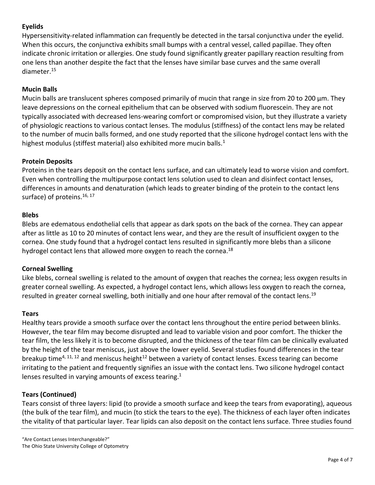# **Eyelids**

Hypersensitivity-related inflammation can frequently be detected in the tarsal conjunctiva under the eyelid. When this occurs, the conjunctiva exhibits small bumps with a central vessel, called papillae. They often indicate chronic irritation or allergies. One study found significantly greater papillary reaction resulting from one lens than another despite the fact that the lenses have similar base curves and the same overall diameter.<sup>15</sup>

## **Mucin Balls**

Mucin balls are translucent spheres composed primarily of mucin that range in size from 20 to 200 μm. They leave depressions on the corneal epithelium that can be observed with sodium fluorescein. They are not typically associated with decreased lens-wearing comfort or compromised vision, but they illustrate a variety of physiologic reactions to various contact lenses. The modulus (stiffness) of the contact lens may be related to the number of mucin balls formed, and one study reported that the silicone hydrogel contact lens with the highest modulus (stiffest material) also exhibited more mucin balls. $1$ 

#### **Protein Deposits**

Proteins in the tears deposit on the contact lens surface, and can ultimately lead to worse vision and comfort. Even when controlling the multipurpose contact lens solution used to clean and disinfect contact lenses, differences in amounts and denaturation (which leads to greater binding of the protein to the contact lens surface) of proteins.<sup>16, 17</sup>

#### **Blebs**

Blebs are edematous endothelial cells that appear as dark spots on the back of the cornea. They can appear after as little as 10 to 20 minutes of contact lens wear, and they are the result of insufficient oxygen to the cornea. One study found that a hydrogel contact lens resulted in significantly more blebs than a silicone hydrogel contact lens that allowed more oxygen to reach the cornea.<sup>18</sup>

#### **Corneal Swelling**

Like blebs, corneal swelling is related to the amount of oxygen that reaches the cornea; less oxygen results in greater corneal swelling. As expected, a hydrogel contact lens, which allows less oxygen to reach the cornea, resulted in greater corneal swelling, both initially and one hour after removal of the contact lens.<sup>19</sup>

#### **Tears**

Healthy tears provide a smooth surface over the contact lens throughout the entire period between blinks. However, the tear film may become disrupted and lead to variable vision and poor comfort. The thicker the tear film, the less likely it is to become disrupted, and the thickness of the tear film can be clinically evaluated by the height of the tear meniscus, just above the lower eyelid. Several studies found differences in the tear breakup time<sup>4, 11, 12</sup> and meniscus height<sup>12</sup> between a variety of contact lenses. Excess tearing can become irritating to the patient and frequently signifies an issue with the contact lens. Two silicone hydrogel contact lenses resulted in varying amounts of excess tearing.<sup>1</sup>

#### **Tears (Continued)**

Tears consist of three layers: lipid (to provide a smooth surface and keep the tears from evaporating), aqueous (the bulk of the tear film), and mucin (to stick the tears to the eye). The thickness of each layer often indicates the vitality of that particular layer. Tear lipids can also deposit on the contact lens surface. Three studies found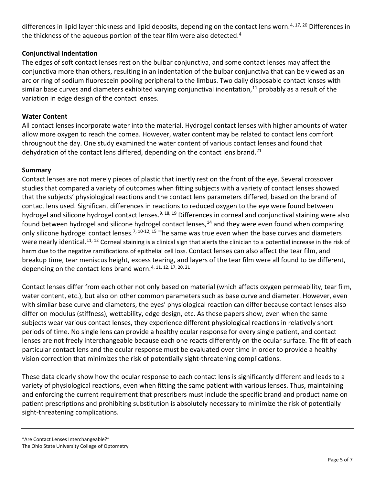differences in lipid layer thickness and lipid deposits, depending on the contact lens worn.<sup>4, 17, 20</sup> Differences in the thickness of the aqueous portion of the tear film were also detected.<sup>4</sup>

## **Conjunctival Indentation**

The edges of soft contact lenses rest on the bulbar conjunctiva, and some contact lenses may affect the conjunctiva more than others, resulting in an indentation of the bulbar conjunctiva that can be viewed as an arc or ring of sodium fluorescein pooling peripheral to the limbus. Two daily disposable contact lenses with similar base curves and diameters exhibited varying conjunctival indentation, $11$  probably as a result of the variation in edge design of the contact lenses.

#### **Water Content**

All contact lenses incorporate water into the material. Hydrogel contact lenses with higher amounts of water allow more oxygen to reach the cornea. However, water content may be related to contact lens comfort throughout the day. One study examined the water content of various contact lenses and found that dehydration of the contact lens differed, depending on the contact lens brand.<sup>21</sup>

# **Summary**

Contact lenses are not merely pieces of plastic that inertly rest on the front of the eye. Several crossover studies that compared a variety of outcomes when fitting subjects with a variety of contact lenses showed that the subjects' physiological reactions and the contact lens parameters differed, based on the brand of contact lens used. Significant differences in reactions to reduced oxygen to the eye were found between hydrogel and silicone hydrogel contact lenses.<sup>9, 18, 19</sup> Differences in corneal and conjunctival staining were also found between hydrogel and silicone hydrogel contact lenses,<sup>14</sup> and they were even found when comparing only silicone hydrogel contact lenses.<sup>7, 10-12, 15</sup> The same was true even when the base curves and diameters were nearly identical.<sup>11, 12</sup> Corneal staining is a clinical sign that alerts the clinician to a potential increase in the risk of harm due to the negative ramifications of epithelial cell loss. Contact lenses can also affect the tear film, and breakup time, tear meniscus height, excess tearing, and layers of the tear film were all found to be different, depending on the contact lens brand worn.<sup>4, 11, 12, 17, 20, 21</sup>

Contact lenses differ from each other not only based on material (which affects oxygen permeability, tear film, water content, etc.), but also on other common parameters such as base curve and diameter. However, even with similar base curve and diameters, the eyes' physiological reaction can differ because contact lenses also differ on modulus (stiffness), wettability, edge design, etc. As these papers show, even when the same subjects wear various contact lenses, they experience different physiological reactions in relatively short periods of time. No single lens can provide a healthy ocular response for every single patient, and contact lenses are not freely interchangeable because each one reacts differently on the ocular surface. The fit of each particular contact lens and the ocular response must be evaluated over time in order to provide a healthy vision correction that minimizes the risk of potentially sight-threatening complications.

These data clearly show how the ocular response to each contact lens is significantly different and leads to a variety of physiological reactions, even when fitting the same patient with various lenses. Thus, maintaining and enforcing the current requirement that prescribers must include the specific brand and product name on patient prescriptions and prohibiting substitution is absolutely necessary to minimize the risk of potentially sight-threatening complications.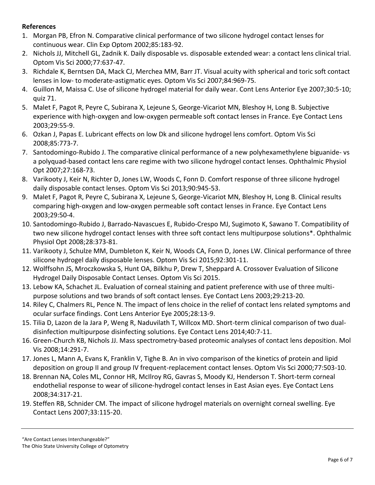## **References**

- 1. Morgan PB, Efron N. Comparative clinical performance of two silicone hydrogel contact lenses for continuous wear. Clin Exp Optom 2002;85:183-92.
- 2. Nichols JJ, Mitchell GL, Zadnik K. Daily disposable vs. disposable extended wear: a contact lens clinical trial. Optom Vis Sci 2000;77:637-47.
- 3. Richdale K, Berntsen DA, Mack CJ, Merchea MM, Barr JT. Visual acuity with spherical and toric soft contact lenses in low- to moderate-astigmatic eyes. Optom Vis Sci 2007;84:969-75.
- 4. Guillon M, Maissa C. Use of silicone hydrogel material for daily wear. Cont Lens Anterior Eye 2007;30:5-10; quiz 71.
- 5. Malet F, Pagot R, Peyre C, Subirana X, Lejeune S, George-Vicariot MN, Bleshoy H, Long B. Subjective experience with high-oxygen and low-oxygen permeable soft contact lenses in France. Eye Contact Lens 2003;29:55-9.
- 6. Ozkan J, Papas E. Lubricant effects on low Dk and silicone hydrogel lens comfort. Optom Vis Sci 2008;85:773-7.
- 7. Santodomingo-Rubido J. The comparative clinical performance of a new polyhexamethylene biguanide- vs a polyquad-based contact lens care regime with two silicone hydrogel contact lenses. Ophthalmic Physiol Opt 2007;27:168-73.
- 8. Varikooty J, Keir N, Richter D, Jones LW, Woods C, Fonn D. Comfort response of three silicone hydrogel daily disposable contact lenses. Optom Vis Sci 2013;90:945-53.
- 9. Malet F, Pagot R, Peyre C, Subirana X, Lejeune S, George-Vicariot MN, Bleshoy H, Long B. Clinical results comparing high-oxygen and low-oxygen permeable soft contact lenses in France. Eye Contact Lens 2003;29:50-4.
- 10. Santodomingo-Rubido J, Barrado-Navascues E, Rubido-Crespo MJ, Sugimoto K, Sawano T. Compatibility of two new silicone hydrogel contact lenses with three soft contact lens multipurpose solutions\*. Ophthalmic Physiol Opt 2008;28:373-81.
- 11. Varikooty J, Schulze MM, Dumbleton K, Keir N, Woods CA, Fonn D, Jones LW. Clinical performance of three silicone hydrogel daily disposable lenses. Optom Vis Sci 2015;92:301-11.
- 12. Wolffsohn JS, Mroczkowska S, Hunt OA, Bilkhu P, Drew T, Sheppard A. Crossover Evaluation of Silicone Hydrogel Daily Disposable Contact Lenses. Optom Vis Sci 2015.
- 13. Lebow KA, Schachet JL. Evaluation of corneal staining and patient preference with use of three multipurpose solutions and two brands of soft contact lenses. Eye Contact Lens 2003;29:213-20.
- 14. Riley C, Chalmers RL, Pence N. The impact of lens choice in the relief of contact lens related symptoms and ocular surface findings. Cont Lens Anterior Eye 2005;28:13-9.
- 15. Tilia D, Lazon de la Jara P, Weng R, Naduvilath T, Willcox MD. Short-term clinical comparison of two dualdisinfection multipurpose disinfecting solutions. Eye Contact Lens 2014;40:7-11.
- 16. Green-Church KB, Nichols JJ. Mass spectrometry-based proteomic analyses of contact lens deposition. Mol Vis 2008;14:291-7.
- 17. Jones L, Mann A, Evans K, Franklin V, Tighe B. An in vivo comparison of the kinetics of protein and lipid deposition on group II and group IV frequent-replacement contact lenses. Optom Vis Sci 2000;77:503-10.
- 18. Brennan NA, Coles ML, Connor HR, McIlroy RG, Gavras S, Moody KJ, Henderson T. Short-term corneal endothelial response to wear of silicone-hydrogel contact lenses in East Asian eyes. Eye Contact Lens 2008;34:317-21.
- 19. Steffen RB, Schnider CM. The impact of silicone hydrogel materials on overnight corneal swelling. Eye Contact Lens 2007;33:115-20.